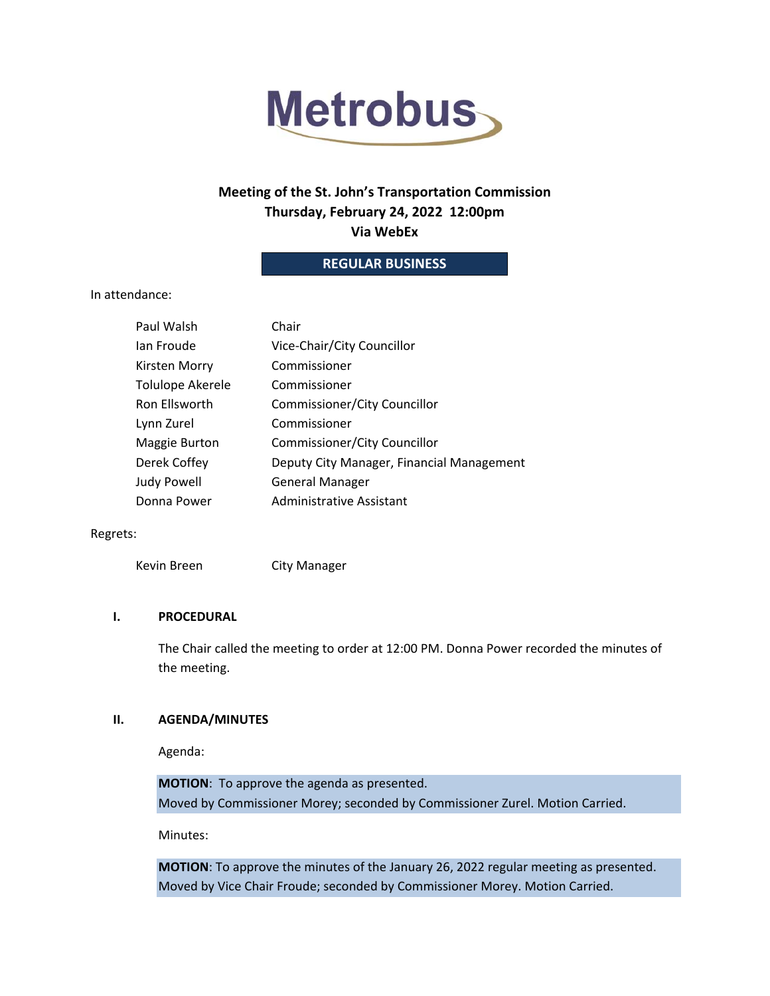

# **Meeting of the St. John's Transportation Commission Thursday, February 24, 2022 12:00pm Via WebEx**

# **REGULAR BUSINESS**

## In attendance:

| Paul Walsh         | Chair                                     |
|--------------------|-------------------------------------------|
| Ian Froude         | Vice-Chair/City Councillor                |
| Kirsten Morry      | Commissioner                              |
| Tolulope Akerele   | Commissioner                              |
| Ron Ellsworth      | Commissioner/City Councillor              |
| Lynn Zurel         | Commissioner                              |
| Maggie Burton      | <b>Commissioner/City Councillor</b>       |
| Derek Coffey       | Deputy City Manager, Financial Management |
| <b>Judy Powell</b> | <b>General Manager</b>                    |
| Donna Power        | <b>Administrative Assistant</b>           |

#### Regrets:

Kevin Breen City Manager

#### **I. PROCEDURAL**

The Chair called the meeting to order at 12:00 PM. Donna Power recorded the minutes of the meeting.

## **II. AGENDA/MINUTES**

Agenda:

**MOTION**: To approve the agenda as presented. Moved by Commissioner Morey; seconded by Commissioner Zurel. Motion Carried.

Minutes:

**MOTION**: To approve the minutes of the January 26, 2022 regular meeting as presented. Moved by Vice Chair Froude; seconded by Commissioner Morey. Motion Carried.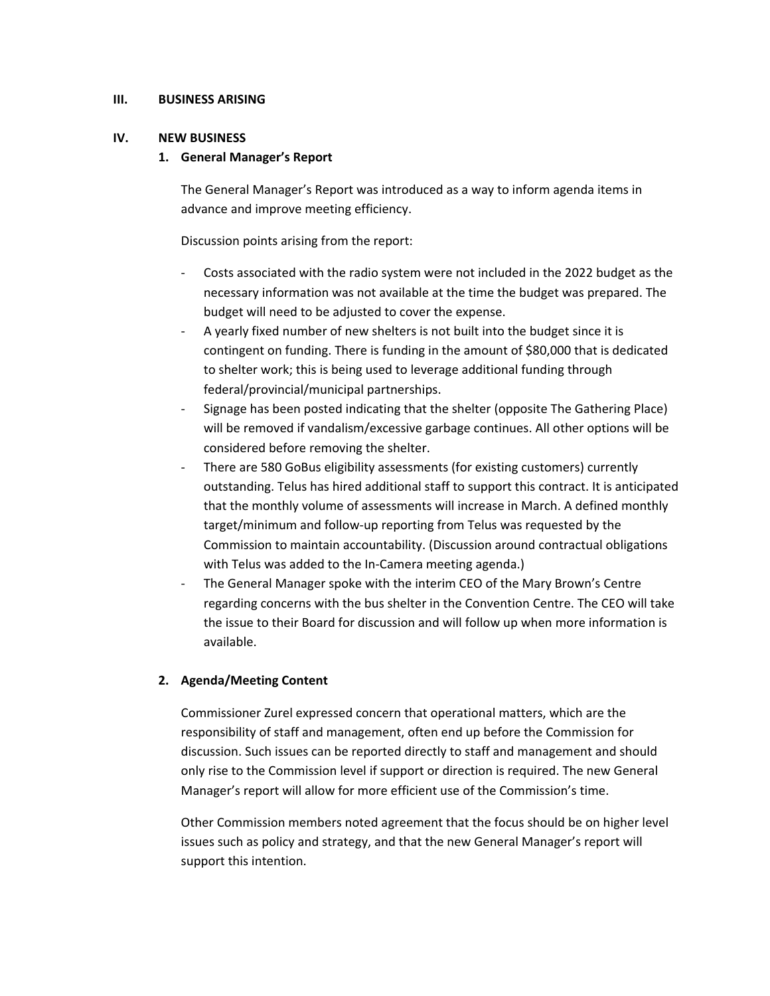#### **III. BUSINESS ARISING**

#### **IV. NEW BUSINESS**

#### **1. General Manager's Report**

The General Manager's Report was introduced as a way to inform agenda items in advance and improve meeting efficiency.

Discussion points arising from the report:

- ‐ Costs associated with the radio system were not included in the 2022 budget as the necessary information was not available at the time the budget was prepared. The budget will need to be adjusted to cover the expense.
- ‐ A yearly fixed number of new shelters is not built into the budget since it is contingent on funding. There is funding in the amount of \$80,000 that is dedicated to shelter work; this is being used to leverage additional funding through federal/provincial/municipal partnerships.
- ‐ Signage has been posted indicating that the shelter (opposite The Gathering Place) will be removed if vandalism/excessive garbage continues. All other options will be considered before removing the shelter.
- ‐ There are 580 GoBus eligibility assessments (for existing customers) currently outstanding. Telus has hired additional staff to support this contract. It is anticipated that the monthly volume of assessments will increase in March. A defined monthly target/minimum and follow‐up reporting from Telus was requested by the Commission to maintain accountability. (Discussion around contractual obligations with Telus was added to the In‐Camera meeting agenda.)
- The General Manager spoke with the interim CEO of the Mary Brown's Centre regarding concerns with the bus shelter in the Convention Centre. The CEO will take the issue to their Board for discussion and will follow up when more information is available.

## **2. Agenda/Meeting Content**

Commissioner Zurel expressed concern that operational matters, which are the responsibility of staff and management, often end up before the Commission for discussion. Such issues can be reported directly to staff and management and should only rise to the Commission level if support or direction is required. The new General Manager's report will allow for more efficient use of the Commission's time.

Other Commission members noted agreement that the focus should be on higher level issues such as policy and strategy, and that the new General Manager's report will support this intention.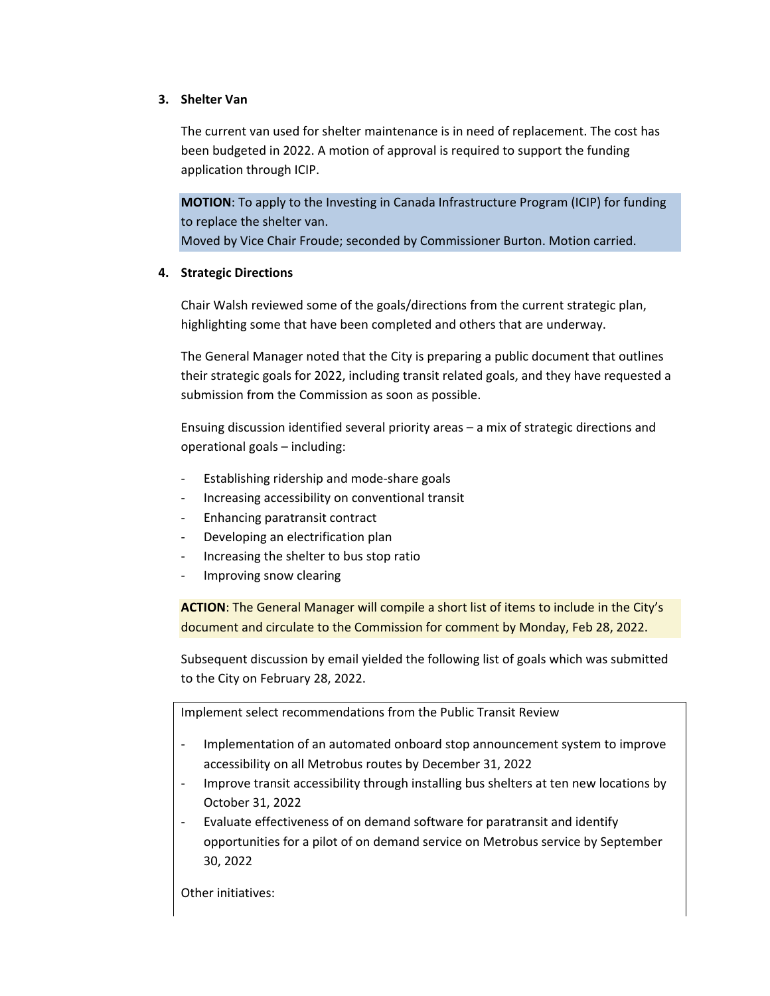## **3. Shelter Van**

The current van used for shelter maintenance is in need of replacement. The cost has been budgeted in 2022. A motion of approval is required to support the funding application through ICIP.

**MOTION**: To apply to the Investing in Canada Infrastructure Program (ICIP) for funding to replace the shelter van.

Moved by Vice Chair Froude; seconded by Commissioner Burton. Motion carried.

# **4. Strategic Directions**

Chair Walsh reviewed some of the goals/directions from the current strategic plan, highlighting some that have been completed and others that are underway.

The General Manager noted that the City is preparing a public document that outlines their strategic goals for 2022, including transit related goals, and they have requested a submission from the Commission as soon as possible.

Ensuing discussion identified several priority areas – a mix of strategic directions and operational goals – including:

- ‐ Establishing ridership and mode‐share goals
- ‐ Increasing accessibility on conventional transit
- ‐ Enhancing paratransit contract
- ‐ Developing an electrification plan
- ‐ Increasing the shelter to bus stop ratio
- ‐ Improving snow clearing

**ACTION**: The General Manager will compile a short list of items to include in the City's document and circulate to the Commission for comment by Monday, Feb 28, 2022.

Subsequent discussion by email yielded the following list of goals which was submitted to the City on February 28, 2022.

Implement select recommendations from the Public Transit Review

- Implementation of an automated onboard stop announcement system to improve accessibility on all Metrobus routes by December 31, 2022
- Improve transit accessibility through installing bus shelters at ten new locations by October 31, 2022
- ‐ Evaluate effectiveness of on demand software for paratransit and identify opportunities for a pilot of on demand service on Metrobus service by September 30, 2022

Other initiatives: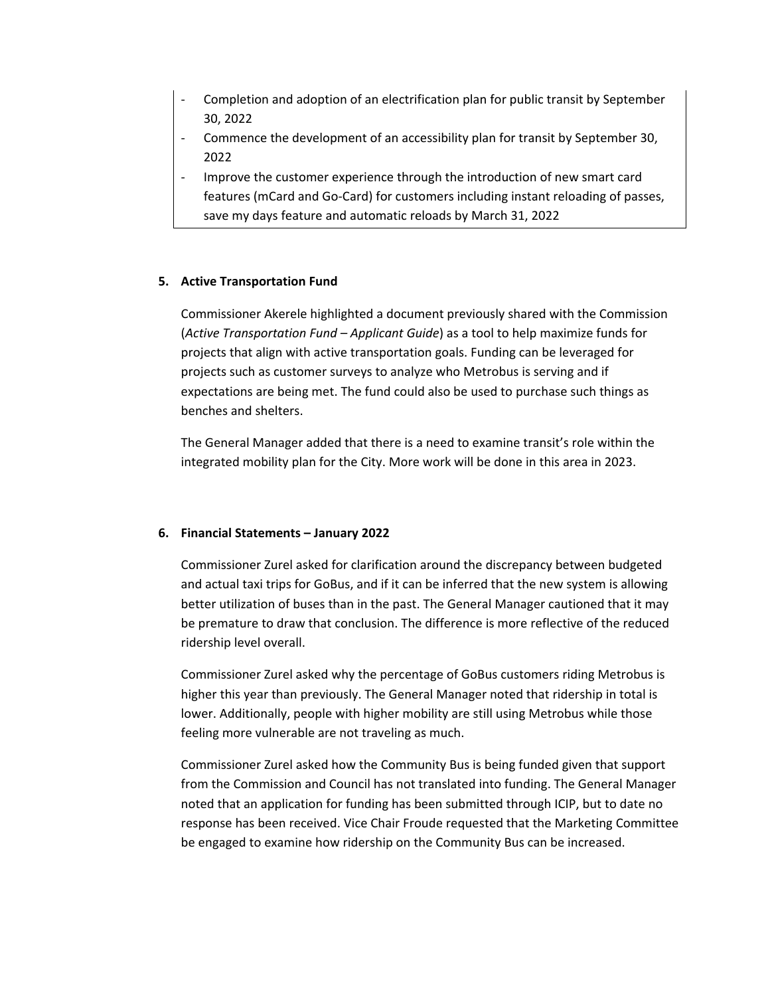- ‐ Completion and adoption of an electrification plan for public transit by September 30, 2022
- ‐ Commence the development of an accessibility plan for transit by September 30, 2022
- ‐ Improve the customer experience through the introduction of new smart card features (mCard and Go-Card) for customers including instant reloading of passes, save my days feature and automatic reloads by March 31, 2022

## **5. Active Transportation Fund**

Commissioner Akerele highlighted a document previously shared with the Commission (*Active Transportation Fund – Applicant Guide*) as a tool to help maximize funds for projects that align with active transportation goals. Funding can be leveraged for projects such as customer surveys to analyze who Metrobus is serving and if expectations are being met. The fund could also be used to purchase such things as benches and shelters.

The General Manager added that there is a need to examine transit's role within the integrated mobility plan for the City. More work will be done in this area in 2023.

## **6. Financial Statements – January 2022**

Commissioner Zurel asked for clarification around the discrepancy between budgeted and actual taxi trips for GoBus, and if it can be inferred that the new system is allowing better utilization of buses than in the past. The General Manager cautioned that it may be premature to draw that conclusion. The difference is more reflective of the reduced ridership level overall.

Commissioner Zurel asked why the percentage of GoBus customers riding Metrobus is higher this year than previously. The General Manager noted that ridership in total is lower. Additionally, people with higher mobility are still using Metrobus while those feeling more vulnerable are not traveling as much.

Commissioner Zurel asked how the Community Bus is being funded given that support from the Commission and Council has not translated into funding. The General Manager noted that an application for funding has been submitted through ICIP, but to date no response has been received. Vice Chair Froude requested that the Marketing Committee be engaged to examine how ridership on the Community Bus can be increased.